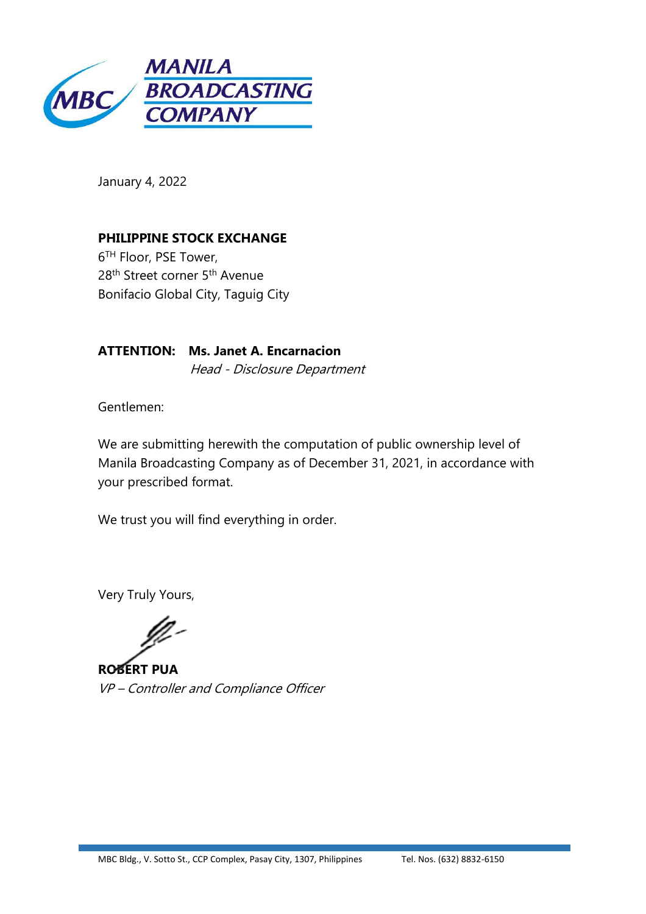

January 4, 2022

**PHILIPPINE STOCK EXCHANGE** 6 TH Floor, PSE Tower, 28<sup>th</sup> Street corner 5<sup>th</sup> Avenue Bonifacio Global City, Taguig City

**ATTENTION: Ms. Janet A. Encarnacion** Head - Disclosure Department

Gentlemen:

We are submitting herewith the computation of public ownership level of Manila Broadcasting Company as of December 31, 2021, in accordance with your prescribed format.

We trust you will find everything in order.

Very Truly Yours,

**ROBERT PUA** VP – Controller and Compliance Officer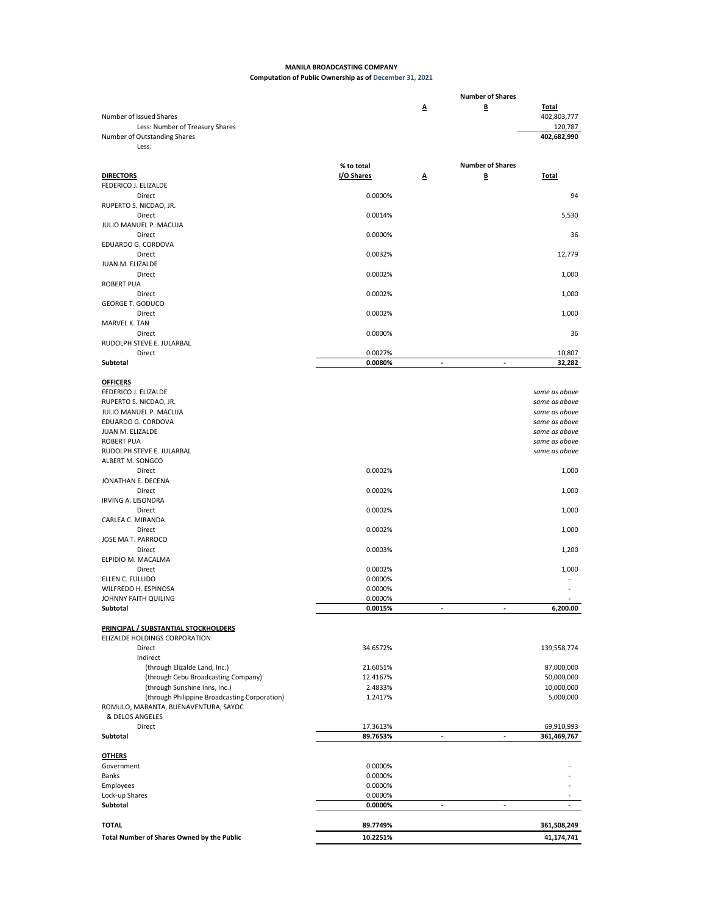## **MANILA BROADCASTING COMPANY Computation of Public Ownership as of December 31, 2021**

|                                                                          |                     |                | <b>Number of Shares</b>  |                                |
|--------------------------------------------------------------------------|---------------------|----------------|--------------------------|--------------------------------|
| Number of Issued Shares                                                  |                     | Δ              | B                        | <b>Total</b><br>402,803,777    |
| Less: Number of Treasury Shares<br>Number of Outstanding Shares<br>Less: |                     |                |                          | 120,787<br>402,682,990         |
|                                                                          |                     |                |                          |                                |
|                                                                          | % to total          |                | <b>Number of Shares</b>  |                                |
| <b>DIRECTORS</b>                                                         | I/O Shares          | Δ              | B                        | <b>Total</b>                   |
| FEDERICO J. ELIZALDE<br>Direct                                           | 0.0000%             |                |                          | 94                             |
| RUPERTO S. NICDAO, JR.                                                   |                     |                |                          |                                |
| Direct                                                                   | 0.0014%             |                |                          | 5,530                          |
| JULIO MANUEL P. MACUJA                                                   |                     |                |                          |                                |
| Direct                                                                   | 0.0000%             |                |                          | 36                             |
| EDUARDO G. CORDOVA                                                       |                     |                |                          |                                |
| Direct<br>JUAN M. ELIZALDE                                               | 0.0032%             |                |                          | 12,779                         |
| Direct                                                                   | 0.0002%             |                |                          | 1,000                          |
| <b>ROBERT PUA</b>                                                        |                     |                |                          |                                |
| Direct                                                                   | 0.0002%             |                |                          | 1,000                          |
| <b>GEORGE T. GODUCO</b>                                                  |                     |                |                          |                                |
| Direct                                                                   | 0.0002%             |                |                          | 1,000                          |
| MARVEL K. TAN<br>Direct                                                  | 0.0000%             |                |                          | 36                             |
| RUDOLPH STEVE E. JULARBAL                                                |                     |                |                          |                                |
| Direct                                                                   | 0.0027%             |                |                          | 10,807                         |
| Subtotal                                                                 | 0.0080%             | ÷,             | $\overline{\phantom{a}}$ | 32,282                         |
|                                                                          |                     |                |                          |                                |
| <b>OFFICERS</b>                                                          |                     |                |                          |                                |
| FEDERICO J. ELIZALDE<br>RUPERTO S. NICDAO, JR.                           |                     |                |                          | same as above<br>same as above |
| JULIO MANUEL P. MACUJA                                                   |                     |                |                          | same as above                  |
| EDUARDO G. CORDOVA                                                       |                     |                |                          | same as above                  |
| JUAN M. ELIZALDE                                                         |                     |                |                          | same as above                  |
| <b>ROBERT PUA</b>                                                        |                     |                |                          | same as above                  |
| RUDOLPH STEVE E. JULARBAL                                                |                     |                |                          | same as above                  |
| ALBERT M. SONGCO                                                         |                     |                |                          |                                |
| Direct<br>JONATHAN E. DECENA                                             | 0.0002%             |                |                          | 1,000                          |
| Direct                                                                   | 0.0002%             |                |                          | 1,000                          |
| IRVING A. LISONDRA                                                       |                     |                |                          |                                |
| Direct                                                                   | 0.0002%             |                |                          | 1,000                          |
| CARLEA C. MIRANDA                                                        |                     |                |                          |                                |
| Direct<br>JOSE MA T. PARROCO                                             | 0.0002%             |                |                          | 1,000                          |
| Direct                                                                   | 0.0003%             |                |                          | 1,200                          |
| ELPIDIO M. MACALMA                                                       |                     |                |                          |                                |
| Direct                                                                   | 0.0002%             |                |                          | 1,000                          |
| ELLEN C. FULLIDO                                                         | 0.0000%             |                |                          |                                |
| WILFREDO H. ESPINOSA                                                     | 0.0000%             |                |                          |                                |
| JOHNNY FAITH QUILING                                                     | 0.0000%             |                |                          | 6.200.00                       |
| Subtotal                                                                 | 0.0015%             |                |                          |                                |
| PRINCIPAL / SUBSTANTIAL STOCKHOLDERS                                     |                     |                |                          |                                |
| ELIZALDE HOLDINGS CORPORATION                                            |                     |                |                          |                                |
| Direct                                                                   | 34.6572%            |                |                          | 139,558,774                    |
| Indirect                                                                 |                     |                |                          |                                |
| (through Elizalde Land, Inc.)                                            | 21.6051%            |                |                          | 87,000,000                     |
| (through Cebu Broadcasting Company)<br>(through Sunshine Inns, Inc.)     | 12.4167%<br>2.4833% |                |                          | 50,000,000<br>10,000,000       |
| (through Philippine Broadcasting Corporation)                            | 1.2417%             |                |                          | 5,000,000                      |
| ROMULO, MABANTA, BUENAVENTURA, SAYOC                                     |                     |                |                          |                                |
| & DELOS ANGELES                                                          |                     |                |                          |                                |
| Direct                                                                   | 17.3613%            |                |                          | 69,910,993                     |
| Subtotal                                                                 | 89.7653%            | ÷,             |                          | 361,469,767                    |
| <b>OTHERS</b>                                                            |                     |                |                          |                                |
| Government                                                               | 0.0000%             |                |                          |                                |
| Banks                                                                    | 0.0000%             |                |                          |                                |
| Employees                                                                | 0.0000%             |                |                          |                                |
| Lock-up Shares                                                           | 0.0000%             |                |                          |                                |
| Subtotal                                                                 | 0.0000%             | $\blacksquare$ | $\sim$                   | ٠                              |
| <b>TOTAL</b>                                                             | 89.7749%            |                |                          | 361,508,249                    |
|                                                                          | 10.2251%            |                |                          |                                |
| Total Number of Shares Owned by the Public                               |                     |                |                          | 41,174,741                     |